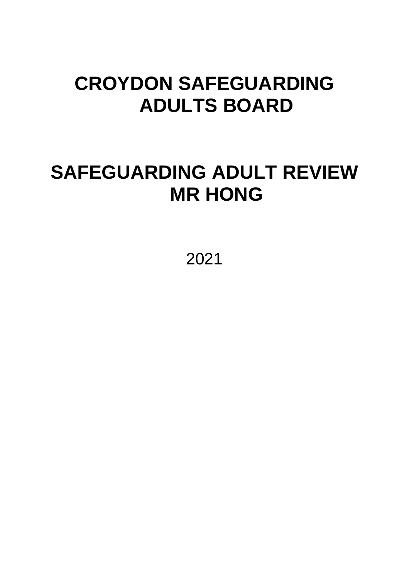# **CROYDON SAFEGUARDING ADULTS BOARD**

# **SAFEGUARDING ADULT REVIEW MR HONG**

2021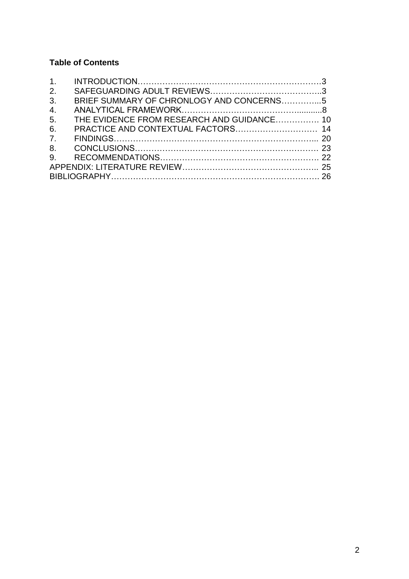## **Table of Contents**

| 2.             |                                            |  |
|----------------|--------------------------------------------|--|
| 3.             | BRIEF SUMMARY OF CHRONLOGY AND CONCERNS5   |  |
|                |                                            |  |
| 5 <sub>1</sub> | THE EVIDENCE FROM RESEARCH AND GUIDANCE 10 |  |
| 6.             |                                            |  |
|                |                                            |  |
|                |                                            |  |
|                |                                            |  |
|                |                                            |  |
|                |                                            |  |
|                |                                            |  |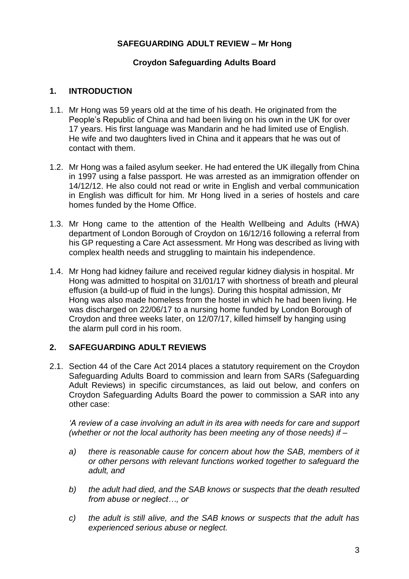#### **SAFEGUARDING ADULT REVIEW – Mr Hong**

#### **Croydon Safeguarding Adults Board**

#### **1. INTRODUCTION**

- 1.1. Mr Hong was 59 years old at the time of his death. He originated from the People's Republic of China and had been living on his own in the UK for over 17 years. His first language was Mandarin and he had limited use of English. He wife and two daughters lived in China and it appears that he was out of contact with them.
- 1.2. Mr Hong was a failed asylum seeker. He had entered the UK illegally from China in 1997 using a false passport. He was arrested as an immigration offender on 14/12/12. He also could not read or write in English and verbal communication in English was difficult for him. Mr Hong lived in a series of hostels and care homes funded by the Home Office.
- 1.3. Mr Hong came to the attention of the Health Wellbeing and Adults (HWA) department of London Borough of Croydon on 16/12/16 following a referral from his GP requesting a Care Act assessment. Mr Hong was described as living with complex health needs and struggling to maintain his independence.
- 1.4. Mr Hong had kidney failure and received regular kidney dialysis in hospital. Mr Hong was admitted to hospital on 31/01/17 with shortness of breath and pleural effusion (a build-up of fluid in the lungs). During this hospital admission, Mr Hong was also made homeless from the hostel in which he had been living. He was discharged on 22/06/17 to a nursing home funded by London Borough of Croydon and three weeks later, on 12/07/17, killed himself by hanging using the alarm pull cord in his room.

## **2. SAFEGUARDING ADULT REVIEWS**

2.1. Section 44 of the Care Act 2014 places a statutory requirement on the Croydon Safeguarding Adults Board to commission and learn from SARs (Safeguarding Adult Reviews) in specific circumstances, as laid out below, and confers on Croydon Safeguarding Adults Board the power to commission a SAR into any other case:

*'A review of a case involving an adult in its area with needs for care and support (whether or not the local authority has been meeting any of those needs) if –*

- *a) there is reasonable cause for concern about how the SAB, members of it or other persons with relevant functions worked together to safeguard the adult, and*
- *b) the adult had died, and the SAB knows or suspects that the death resulted from abuse or neglect…, or*
- *c) the adult is still alive, and the SAB knows or suspects that the adult has experienced serious abuse or neglect.*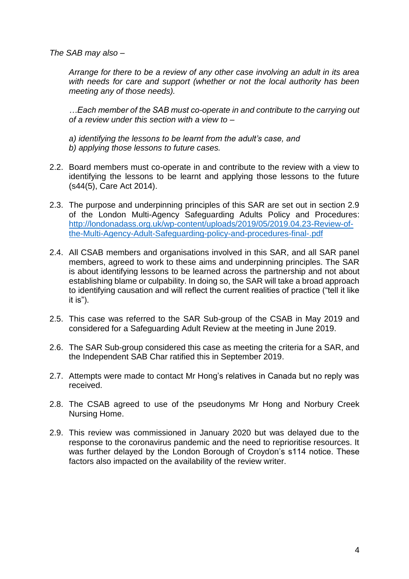*The SAB may also –*

*Arrange for there to be a review of any other case involving an adult in its area with needs for care and support (whether or not the local authority has been meeting any of those needs).*

*…Each member of the SAB must co-operate in and contribute to the carrying out of a review under this section with a view to –*

*a) identifying the lessons to be learnt from the adult's case, and b) applying those lessons to future cases.*

- 2.2. Board members must co-operate in and contribute to the review with a view to identifying the lessons to be learnt and applying those lessons to the future (s44(5), Care Act 2014).
- 2.3. The purpose and underpinning principles of this SAR are set out in section 2.9 of the London Multi-Agency Safeguarding Adults Policy and Procedures: [http://londonadass.org.uk/wp-content/uploads/2019/05/2019.04.23-Review-of](http://londonadass.org.uk/wp-content/uploads/2019/05/2019.04.23-Review-of-the-Multi-Agency-Adult-Safeguarding-policy-and-procedures-final-.pdf)[the-Multi-Agency-Adult-Safeguarding-policy-and-procedures-final-.pdf](http://londonadass.org.uk/wp-content/uploads/2019/05/2019.04.23-Review-of-the-Multi-Agency-Adult-Safeguarding-policy-and-procedures-final-.pdf)
- 2.4. All CSAB members and organisations involved in this SAR, and all SAR panel members, agreed to work to these aims and underpinning principles. The SAR is about identifying lessons to be learned across the partnership and not about establishing blame or culpability. In doing so, the SAR will take a broad approach to identifying causation and will reflect the current realities of practice ("tell it like it is").
- 2.5. This case was referred to the SAR Sub-group of the CSAB in May 2019 and considered for a Safeguarding Adult Review at the meeting in June 2019.
- 2.6. The SAR Sub-group considered this case as meeting the criteria for a SAR, and the Independent SAB Char ratified this in September 2019.
- 2.7. Attempts were made to contact Mr Hong's relatives in Canada but no reply was received.
- 2.8. The CSAB agreed to use of the pseudonyms Mr Hong and Norbury Creek Nursing Home.
- 2.9. This review was commissioned in January 2020 but was delayed due to the response to the coronavirus pandemic and the need to reprioritise resources. It was further delayed by the London Borough of Croydon's s114 notice. These factors also impacted on the availability of the review writer.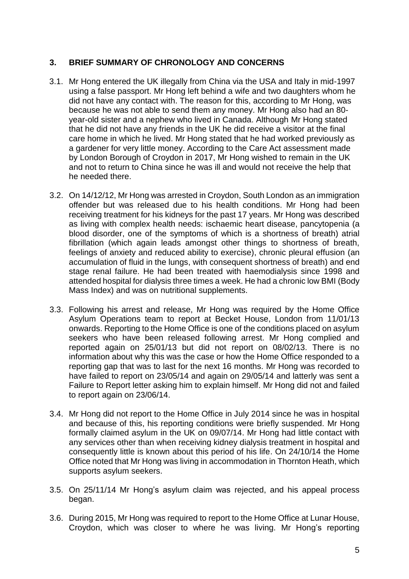## **3. BRIEF SUMMARY OF CHRONOLOGY AND CONCERNS**

- 3.1. Mr Hong entered the UK illegally from China via the USA and Italy in mid-1997 using a false passport. Mr Hong left behind a wife and two daughters whom he did not have any contact with. The reason for this, according to Mr Hong, was because he was not able to send them any money. Mr Hong also had an 80 year-old sister and a nephew who lived in Canada. Although Mr Hong stated that he did not have any friends in the UK he did receive a visitor at the final care home in which he lived. Mr Hong stated that he had worked previously as a gardener for very little money. According to the Care Act assessment made by London Borough of Croydon in 2017, Mr Hong wished to remain in the UK and not to return to China since he was ill and would not receive the help that he needed there.
- 3.2. On 14/12/12, Mr Hong was arrested in Croydon, South London as an immigration offender but was released due to his health conditions. Mr Hong had been receiving treatment for his kidneys for the past 17 years. Mr Hong was described as living with complex health needs: ischaemic heart disease, pancytopenia (a blood disorder, one of the symptoms of which is a shortness of breath) atrial fibrillation (which again leads amongst other things to shortness of breath, feelings of anxiety and reduced ability to exercise), chronic pleural effusion (an accumulation of fluid in the lungs, with consequent shortness of breath) and end stage renal failure. He had been treated with haemodialysis since 1998 and attended hospital for dialysis three times a week. He had a chronic low BMI (Body Mass Index) and was on nutritional supplements.
- 3.3. Following his arrest and release, Mr Hong was required by the Home Office Asylum Operations team to report at Becket House, London from 11/01/13 onwards. Reporting to the Home Office is one of the conditions placed on asylum seekers who have been released following arrest. Mr Hong complied and reported again on 25/01/13 but did not report on 08/02/13. There is no information about why this was the case or how the Home Office responded to a reporting gap that was to last for the next 16 months. Mr Hong was recorded to have failed to report on 23/05/14 and again on 29/05/14 and latterly was sent a Failure to Report letter asking him to explain himself. Mr Hong did not and failed to report again on 23/06/14.
- 3.4. Mr Hong did not report to the Home Office in July 2014 since he was in hospital and because of this, his reporting conditions were briefly suspended. Mr Hong formally claimed asylum in the UK on 09/07/14. Mr Hong had little contact with any services other than when receiving kidney dialysis treatment in hospital and consequently little is known about this period of his life. On 24/10/14 the Home Office noted that Mr Hong was living in accommodation in Thornton Heath, which supports asylum seekers.
- 3.5. On 25/11/14 Mr Hong's asylum claim was rejected, and his appeal process began.
- 3.6. During 2015, Mr Hong was required to report to the Home Office at Lunar House, Croydon, which was closer to where he was living. Mr Hong's reporting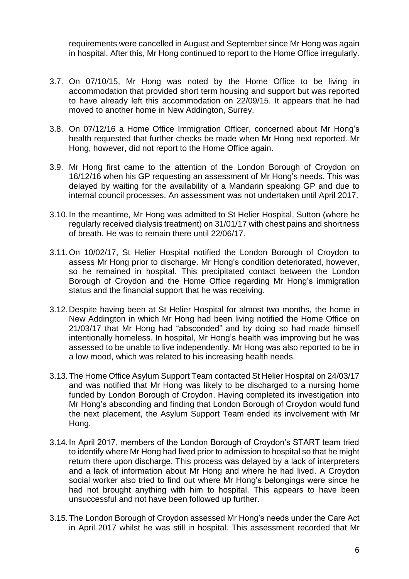requirements were cancelled in August and September since Mr Hong was again in hospital. After this, Mr Hong continued to report to the Home Office irregularly.

- 3.7. On 07/10/15, Mr Hong was noted by the Home Office to be living in accommodation that provided short term housing and support but was reported to have already left this accommodation on 22/09/15. It appears that he had moved to another home in New Addington, Surrey.
- 3.8. On 07/12/16 a Home Office Immigration Officer, concerned about Mr Hong's health requested that further checks be made when Mr Hong next reported. Mr Hong, however, did not report to the Home Office again.
- 3.9. Mr Hong first came to the attention of the London Borough of Croydon on 16/12/16 when his GP requesting an assessment of Mr Hong's needs. This was delayed by waiting for the availability of a Mandarin speaking GP and due to internal council processes. An assessment was not undertaken until April 2017.
- 3.10.In the meantime, Mr Hong was admitted to St Helier Hospital, Sutton (where he regularly received dialysis treatment) on 31/01/17 with chest pains and shortness of breath. He was to remain there until 22/06/17.
- 3.11.On 10/02/17, St Helier Hospital notified the London Borough of Croydon to assess Mr Hong prior to discharge. Mr Hong's condition deteriorated, however, so he remained in hospital. This precipitated contact between the London Borough of Croydon and the Home Office regarding Mr Hong's immigration status and the financial support that he was receiving.
- 3.12.Despite having been at St Helier Hospital for almost two months, the home in New Addington in which Mr Hong had been living notified the Home Office on 21/03/17 that Mr Hong had "absconded" and by doing so had made himself intentionally homeless. In hospital, Mr Hong's health was improving but he was assessed to be unable to live independently. Mr Hong was also reported to be in a low mood, which was related to his increasing health needs.
- 3.13.The Home Office Asylum Support Team contacted St Helier Hospital on 24/03/17 and was notified that Mr Hong was likely to be discharged to a nursing home funded by London Borough of Croydon. Having completed its investigation into Mr Hong's absconding and finding that London Borough of Croydon would fund the next placement, the Asylum Support Team ended its involvement with Mr Hong.
- 3.14.In April 2017, members of the London Borough of Croydon's START team tried to identify where Mr Hong had lived prior to admission to hospital so that he might return there upon discharge. This process was delayed by a lack of interpreters and a lack of information about Mr Hong and where he had lived. A Croydon social worker also tried to find out where Mr Hong's belongings were since he had not brought anything with him to hospital. This appears to have been unsuccessful and not have been followed up further.
- 3.15.The London Borough of Croydon assessed Mr Hong's needs under the Care Act in April 2017 whilst he was still in hospital. This assessment recorded that Mr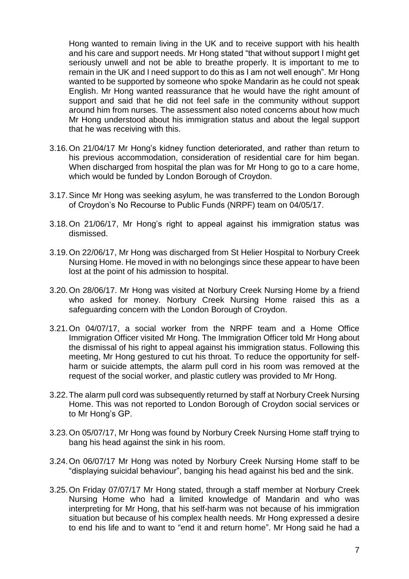Hong wanted to remain living in the UK and to receive support with his health and his care and support needs. Mr Hong stated "that without support I might get seriously unwell and not be able to breathe properly. It is important to me to remain in the UK and I need support to do this as I am not well enough". Mr Hong wanted to be supported by someone who spoke Mandarin as he could not speak English. Mr Hong wanted reassurance that he would have the right amount of support and said that he did not feel safe in the community without support around him from nurses. The assessment also noted concerns about how much Mr Hong understood about his immigration status and about the legal support that he was receiving with this.

- 3.16.On 21/04/17 Mr Hong's kidney function deteriorated, and rather than return to his previous accommodation, consideration of residential care for him began. When discharged from hospital the plan was for Mr Hong to go to a care home, which would be funded by London Borough of Croydon.
- 3.17.Since Mr Hong was seeking asylum, he was transferred to the London Borough of Croydon's No Recourse to Public Funds (NRPF) team on 04/05/17.
- 3.18.On 21/06/17, Mr Hong's right to appeal against his immigration status was dismissed.
- 3.19.On 22/06/17, Mr Hong was discharged from St Helier Hospital to Norbury Creek Nursing Home. He moved in with no belongings since these appear to have been lost at the point of his admission to hospital.
- 3.20.On 28/06/17. Mr Hong was visited at Norbury Creek Nursing Home by a friend who asked for money. Norbury Creek Nursing Home raised this as a safeguarding concern with the London Borough of Croydon.
- 3.21.On 04/07/17, a social worker from the NRPF team and a Home Office Immigration Officer visited Mr Hong. The Immigration Officer told Mr Hong about the dismissal of his right to appeal against his immigration status. Following this meeting, Mr Hong gestured to cut his throat. To reduce the opportunity for selfharm or suicide attempts, the alarm pull cord in his room was removed at the request of the social worker, and plastic cutlery was provided to Mr Hong.
- 3.22.The alarm pull cord was subsequently returned by staff at Norbury Creek Nursing Home. This was not reported to London Borough of Croydon social services or to Mr Hong's GP.
- 3.23.On 05/07/17, Mr Hong was found by Norbury Creek Nursing Home staff trying to bang his head against the sink in his room.
- 3.24.On 06/07/17 Mr Hong was noted by Norbury Creek Nursing Home staff to be "displaying suicidal behaviour", banging his head against his bed and the sink.
- 3.25.On Friday 07/07/17 Mr Hong stated, through a staff member at Norbury Creek Nursing Home who had a limited knowledge of Mandarin and who was interpreting for Mr Hong, that his self-harm was not because of his immigration situation but because of his complex health needs. Mr Hong expressed a desire to end his life and to want to "end it and return home". Mr Hong said he had a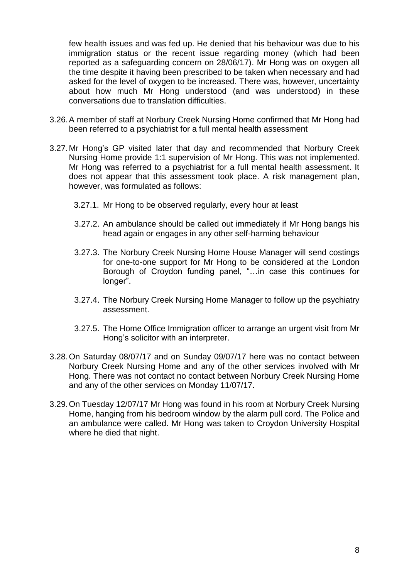few health issues and was fed up. He denied that his behaviour was due to his immigration status or the recent issue regarding money (which had been reported as a safeguarding concern on 28/06/17). Mr Hong was on oxygen all the time despite it having been prescribed to be taken when necessary and had asked for the level of oxygen to be increased. There was, however, uncertainty about how much Mr Hong understood (and was understood) in these conversations due to translation difficulties.

- 3.26.A member of staff at Norbury Creek Nursing Home confirmed that Mr Hong had been referred to a psychiatrist for a full mental health assessment
- 3.27.Mr Hong's GP visited later that day and recommended that Norbury Creek Nursing Home provide 1:1 supervision of Mr Hong. This was not implemented. Mr Hong was referred to a psychiatrist for a full mental health assessment. It does not appear that this assessment took place. A risk management plan, however, was formulated as follows:
	- 3.27.1. Mr Hong to be observed regularly, every hour at least
	- 3.27.2. An ambulance should be called out immediately if Mr Hong bangs his head again or engages in any other self-harming behaviour
	- 3.27.3. The Norbury Creek Nursing Home House Manager will send costings for one-to-one support for Mr Hong to be considered at the London Borough of Croydon funding panel, "…in case this continues for longer".
	- 3.27.4. The Norbury Creek Nursing Home Manager to follow up the psychiatry assessment.
	- 3.27.5. The Home Office Immigration officer to arrange an urgent visit from Mr Hong's solicitor with an interpreter.
- 3.28.On Saturday 08/07/17 and on Sunday 09/07/17 here was no contact between Norbury Creek Nursing Home and any of the other services involved with Mr Hong. There was not contact no contact between Norbury Creek Nursing Home and any of the other services on Monday 11/07/17.
- 3.29.On Tuesday 12/07/17 Mr Hong was found in his room at Norbury Creek Nursing Home, hanging from his bedroom window by the alarm pull cord. The Police and an ambulance were called. Mr Hong was taken to Croydon University Hospital where he died that night.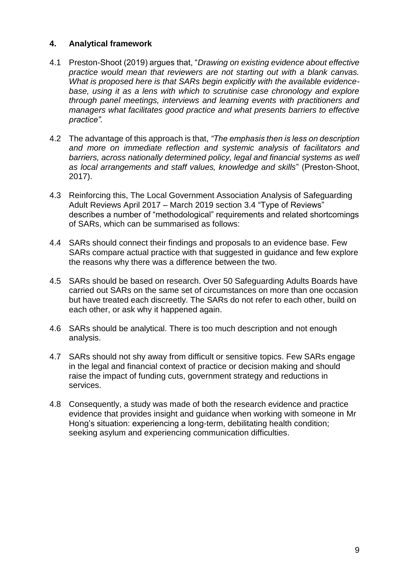#### **4. Analytical framework**

- 4.1 Preston-Shoot (2019) argues that, "*Drawing on existing evidence about effective practice would mean that reviewers are not starting out with a blank canvas. What is proposed here is that SARs begin explicitly with the available evidencebase, using it as a lens with which to scrutinise case chronology and explore through panel meetings, interviews and learning events with practitioners and managers what facilitates good practice and what presents barriers to effective practice".*
- 4.2 The advantage of this approach is that, *"The emphasis then is less on description and more on immediate reflection and systemic analysis of facilitators and barriers, across nationally determined policy, legal and financial systems as well as local arrangements and staff values, knowledge and skills*" (Preston-Shoot, 2017).
- 4.3 Reinforcing this, The Local Government Association Analysis of Safeguarding Adult Reviews April 2017 – March 2019 section 3.4 "Type of Reviews" describes a number of "methodological" requirements and related shortcomings of SARs, which can be summarised as follows:
- 4.4 SARs should connect their findings and proposals to an evidence base. Few SARs compare actual practice with that suggested in guidance and few explore the reasons why there was a difference between the two.
- 4.5 SARs should be based on research. Over 50 Safeguarding Adults Boards have carried out SARs on the same set of circumstances on more than one occasion but have treated each discreetly. The SARs do not refer to each other, build on each other, or ask why it happened again.
- 4.6 SARs should be analytical. There is too much description and not enough analysis.
- 4.7 SARs should not shy away from difficult or sensitive topics. Few SARs engage in the legal and financial context of practice or decision making and should raise the impact of funding cuts, government strategy and reductions in services.
- 4.8 Consequently, a study was made of both the research evidence and practice evidence that provides insight and guidance when working with someone in Mr Hong's situation: experiencing a long-term, debilitating health condition; seeking asylum and experiencing communication difficulties.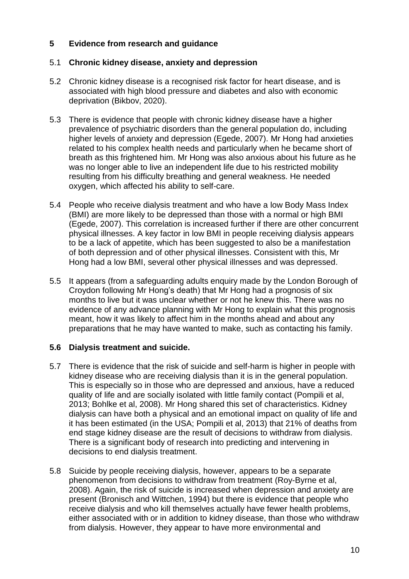## **5 Evidence from research and guidance**

## 5.1 **Chronic kidney disease, anxiety and depression**

- 5.2 Chronic kidney disease is a recognised risk factor for heart disease, and is associated with high blood pressure and diabetes and also with economic deprivation (Bikbov, 2020).
- 5.3 There is evidence that people with chronic kidney disease have a higher prevalence of psychiatric disorders than the general population do, including higher levels of anxiety and depression (Egede, 2007). Mr Hong had anxieties related to his complex health needs and particularly when he became short of breath as this frightened him. Mr Hong was also anxious about his future as he was no longer able to live an independent life due to his restricted mobility resulting from his difficulty breathing and general weakness. He needed oxygen, which affected his ability to self-care.
- 5.4 People who receive dialysis treatment and who have a low Body Mass Index (BMI) are more likely to be depressed than those with a normal or high BMI (Egede, 2007). This correlation is increased further if there are other concurrent physical illnesses. A key factor in low BMI in people receiving dialysis appears to be a lack of appetite, which has been suggested to also be a manifestation of both depression and of other physical illnesses. Consistent with this, Mr Hong had a low BMI, several other physical illnesses and was depressed.
- 5.5 It appears (from a safeguarding adults enquiry made by the London Borough of Croydon following Mr Hong's death) that Mr Hong had a prognosis of six months to live but it was unclear whether or not he knew this. There was no evidence of any advance planning with Mr Hong to explain what this prognosis meant, how it was likely to affect him in the months ahead and about any preparations that he may have wanted to make, such as contacting his family.

## **5.6 Dialysis treatment and suicide.**

- 5.7 There is evidence that the risk of suicide and self-harm is higher in people with kidney disease who are receiving dialysis than it is in the general population. This is especially so in those who are depressed and anxious, have a reduced quality of life and are socially isolated with little family contact (Pompili et al, 2013; Bohlke et al, 2008). Mr Hong shared this set of characteristics. Kidney dialysis can have both a physical and an emotional impact on quality of life and it has been estimated (in the USA; Pompili et al, 2013) that 21% of deaths from end stage kidney disease are the result of decisions to withdraw from dialysis. There is a significant body of research into predicting and intervening in decisions to end dialysis treatment.
- 5.8 Suicide by people receiving dialysis, however, appears to be a separate phenomenon from decisions to withdraw from treatment (Roy-Byrne et al, 2008). Again, the risk of suicide is increased when depression and anxiety are present (Bronisch and Wittchen, 1994) but there is evidence that people who receive dialysis and who kill themselves actually have fewer health problems, either associated with or in addition to kidney disease, than those who withdraw from dialysis. However, they appear to have more environmental and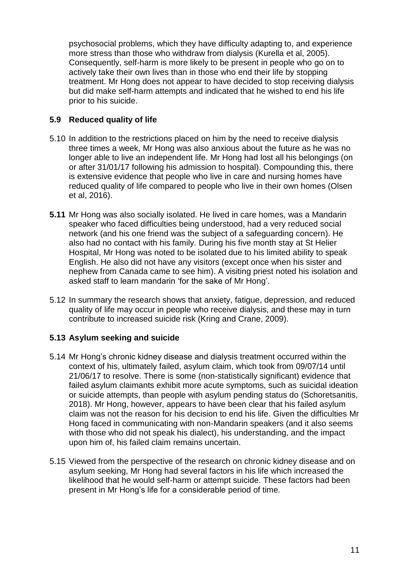psychosocial problems, which they have difficulty adapting to, and experience more stress than those who withdraw from dialysis (Kurella et al, 2005). Consequently, self-harm is more likely to be present in people who go on to actively take their own lives than in those who end their life by stopping treatment. Mr Hong does not appear to have decided to stop receiving dialysis but did make self-harm attempts and indicated that he wished to end his life prior to his suicide.

## **5.9 Reduced quality of life**

- 5.10 In addition to the restrictions placed on him by the need to receive dialysis three times a week, Mr Hong was also anxious about the future as he was no longer able to live an independent life. Mr Hong had lost all his belongings (on or after 31/01/17 following his admission to hospital). Compounding this, there is extensive evidence that people who live in care and nursing homes have reduced quality of life compared to people who live in their own homes (Olsen et al, 2016).
- **5.11** Mr Hong was also socially isolated. He lived in care homes, was a Mandarin speaker who faced difficulties being understood, had a very reduced social network (and his one friend was the subject of a safeguarding concern). He also had no contact with his family. During his five month stay at St Helier Hospital, Mr Hong was noted to be isolated due to his limited ability to speak English. He also did not have any visitors (except once when his sister and nephew from Canada came to see him). A visiting priest noted his isolation and asked staff to learn mandarin 'for the sake of Mr Hong'.
- 5.12 In summary the research shows that anxiety, fatigue, depression, and reduced quality of life may occur in people who receive dialysis, and these may in turn contribute to increased suicide risk (Kring and Crane, 2009).

## **5.13 Asylum seeking and suicide**

- 5.14 Mr Hong's chronic kidney disease and dialysis treatment occurred within the context of his, ultimately failed, asylum claim, which took from 09/07/14 until 21/06/17 to resolve. There is some (non-statistically significant) evidence that failed asylum claimants exhibit more acute symptoms, such as suicidal ideation or suicide attempts, than people with asylum pending status do (Schoretsanitis, 2018). Mr Hong, however, appears to have been clear that his failed asylum claim was not the reason for his decision to end his life. Given the difficulties Mr Hong faced in communicating with non-Mandarin speakers (and it also seems with those who did not speak his dialect), his understanding, and the impact upon him of, his failed claim remains uncertain.
- 5.15 Viewed from the perspective of the research on chronic kidney disease and on asylum seeking, Mr Hong had several factors in his life which increased the likelihood that he would self-harm or attempt suicide. These factors had been present in Mr Hong's life for a considerable period of time.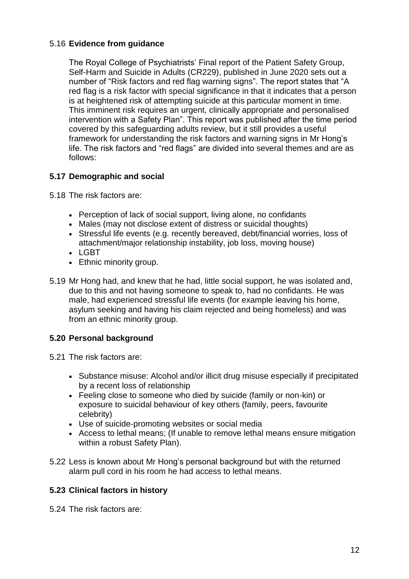## 5.16 **Evidence from guidance**

The Royal College of Psychiatrists' Final report of the Patient Safety Group, Self-Harm and Suicide in Adults (CR229), published in June 2020 sets out a number of "Risk factors and red flag warning signs". The report states that "A red flag is a risk factor with special significance in that it indicates that a person is at heightened risk of attempting suicide at this particular moment in time. This imminent risk requires an urgent, clinically appropriate and personalised intervention with a Safety Plan". This report was published after the time period covered by this safeguarding adults review, but it still provides a useful framework for understanding the risk factors and warning signs in Mr Hong's life. The risk factors and "red flags" are divided into several themes and are as follows:

## **5.17 Demographic and social**

5.18 The risk factors are:

- Perception of lack of social support, living alone, no confidants
- Males (may not disclose extent of distress or suicidal thoughts)
- Stressful life events (e.g. recently bereaved, debt/financial worries, loss of attachment/major relationship instability, job loss, moving house)
- LGBT
- Ethnic minority group.
- 5.19 Mr Hong had, and knew that he had, little social support, he was isolated and, due to this and not having someone to speak to, had no confidants. He was male, had experienced stressful life events (for example leaving his home, asylum seeking and having his claim rejected and being homeless) and was from an ethnic minority group.

## **5.20 Personal background**

5.21 The risk factors are:

- Substance misuse: Alcohol and/or illicit drug misuse especially if precipitated by a recent loss of relationship
- Feeling close to someone who died by suicide (family or non‐kin) or exposure to suicidal behaviour of key others (family, peers, favourite celebrity)
- Use of suicide‐promoting websites or social media
- Access to lethal means; (If unable to remove lethal means ensure mitigation within a robust Safety Plan).
- 5.22 Less is known about Mr Hong's personal background but with the returned alarm pull cord in his room he had access to lethal means.

## **5.23 Clinical factors in history**

5.24 The risk factors are: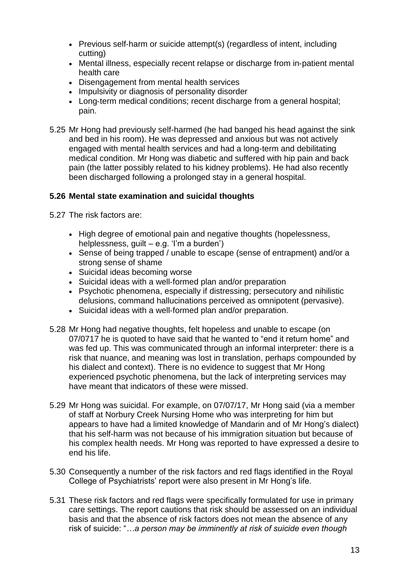- Previous self-harm or suicide attempt(s) (regardless of intent, including cutting)
- Mental illness, especially recent relapse or discharge from in‐patient mental health care
- Disengagement from mental health services
- Impulsivity or diagnosis of personality disorder
- Long-term medical conditions; recent discharge from a general hospital; pain.
- 5.25 Mr Hong had previously self-harmed (he had banged his head against the sink and bed in his room). He was depressed and anxious but was not actively engaged with mental health services and had a long-term and debilitating medical condition. Mr Hong was diabetic and suffered with hip pain and back pain (the latter possibly related to his kidney problems). He had also recently been discharged following a prolonged stay in a general hospital.

## **5.26 Mental state examination and suicidal thoughts**

5.27 The risk factors are:

- High degree of emotional pain and negative thoughts (hopelessness, helplessness, guilt – e.g. 'I'm a burden')
- Sense of being trapped / unable to escape (sense of entrapment) and/or a strong sense of shame
- Suicidal ideas becoming worse
- Suicidal ideas with a well-formed plan and/or preparation
- Psychotic phenomena, especially if distressing; persecutory and nihilistic delusions, command hallucinations perceived as omnipotent (pervasive).
- Suicidal ideas with a well-formed plan and/or preparation.
- 5.28 Mr Hong had negative thoughts, felt hopeless and unable to escape (on 07/0717 he is quoted to have said that he wanted to "end it return home" and was fed up. This was communicated through an informal interpreter: there is a risk that nuance, and meaning was lost in translation, perhaps compounded by his dialect and context). There is no evidence to suggest that Mr Hong experienced psychotic phenomena, but the lack of interpreting services may have meant that indicators of these were missed.
- 5.29 Mr Hong was suicidal. For example, on 07/07/17, Mr Hong said (via a member of staff at Norbury Creek Nursing Home who was interpreting for him but appears to have had a limited knowledge of Mandarin and of Mr Hong's dialect) that his self-harm was not because of his immigration situation but because of his complex health needs. Mr Hong was reported to have expressed a desire to end his life.
- 5.30 Consequently a number of the risk factors and red flags identified in the Royal College of Psychiatrists' report were also present in Mr Hong's life.
- 5.31 These risk factors and red flags were specifically formulated for use in primary care settings. The report cautions that risk should be assessed on an individual basis and that the absence of risk factors does not mean the absence of any risk of suicide: "*…a person may be imminently at risk of suicide even though*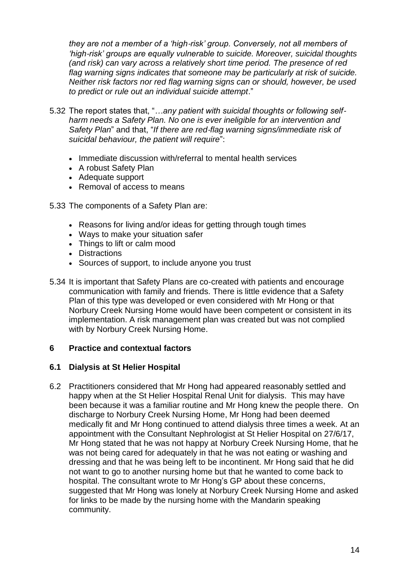*they are not a member of a 'high*‐*risk' group. Conversely, not all members of 'high*‐*risk' groups are equally vulnerable to suicide. Moreover, suicidal thoughts (and risk) can vary across a relatively short time period. The presence of red flag warning signs indicates that someone may be particularly at risk of suicide. Neither risk factors nor red flag warning signs can or should, however, be used to predict or rule out an individual suicide attempt*."

- 5.32 The report states that, "*…any patient with suicidal thoughts or following self*‐ *harm needs a Safety Plan. No one is ever ineligible for an intervention and Safety Plan*" and that, "*If there are red*‐*flag warning signs/immediate risk of suicidal behaviour, the patient will require*":
	- Immediate discussion with/referral to mental health services
	- A robust Safety Plan
	- Adequate support
	- Removal of access to means
- 5.33 The components of a Safety Plan are:
	- Reasons for living and/or ideas for getting through tough times
	- Ways to make your situation safer
	- Things to lift or calm mood
	- Distractions
	- Sources of support, to include anyone you trust
- 5.34 It is important that Safety Plans are co-created with patients and encourage communication with family and friends. There is little evidence that a Safety Plan of this type was developed or even considered with Mr Hong or that Norbury Creek Nursing Home would have been competent or consistent in its implementation. A risk management plan was created but was not complied with by Norbury Creek Nursing Home.

#### **6 Practice and contextual factors**

#### **6.1 Dialysis at St Helier Hospital**

6.2 Practitioners considered that Mr Hong had appeared reasonably settled and happy when at the St Helier Hospital Renal Unit for dialysis. This may have been because it was a familiar routine and Mr Hong knew the people there. On discharge to Norbury Creek Nursing Home, Mr Hong had been deemed medically fit and Mr Hong continued to attend dialysis three times a week. At an appointment with the Consultant Nephrologist at St Helier Hospital on 27/6/17, Mr Hong stated that he was not happy at Norbury Creek Nursing Home, that he was not being cared for adequately in that he was not eating or washing and dressing and that he was being left to be incontinent. Mr Hong said that he did not want to go to another nursing home but that he wanted to come back to hospital. The consultant wrote to Mr Hong's GP about these concerns, suggested that Mr Hong was lonely at Norbury Creek Nursing Home and asked for links to be made by the nursing home with the Mandarin speaking community.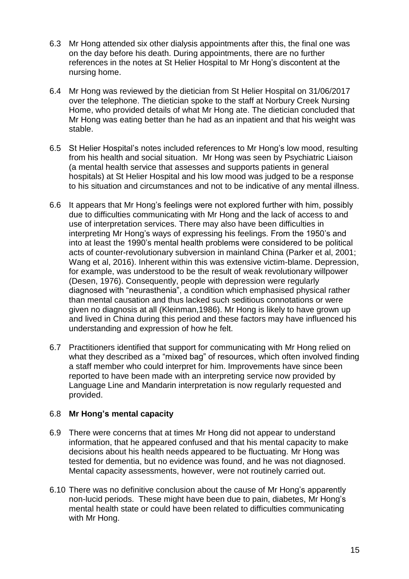- 6.3 Mr Hong attended six other dialysis appointments after this, the final one was on the day before his death. During appointments, there are no further references in the notes at St Helier Hospital to Mr Hong's discontent at the nursing home.
- 6.4 Mr Hong was reviewed by the dietician from St Helier Hospital on 31/06/2017 over the telephone. The dietician spoke to the staff at Norbury Creek Nursing Home, who provided details of what Mr Hong ate. The dietician concluded that Mr Hong was eating better than he had as an inpatient and that his weight was stable.
- 6.5 St Helier Hospital's notes included references to Mr Hong's low mood, resulting from his health and social situation. Mr Hong was seen by Psychiatric Liaison (a mental health service that assesses and supports patients in general hospitals) at St Helier Hospital and his low mood was judged to be a response to his situation and circumstances and not to be indicative of any mental illness.
- 6.6 It appears that Mr Hong's feelings were not explored further with him, possibly due to difficulties communicating with Mr Hong and the lack of access to and use of interpretation services. There may also have been difficulties in interpreting Mr Hong's ways of expressing his feelings. From the 1950's and into at least the 1990's mental health problems were considered to be political acts of counter-revolutionary subversion in mainland China (Parker et al, 2001; Wang et al, 2016). Inherent within this was extensive victim-blame. Depression, for example, was understood to be the result of weak revolutionary willpower (Desen, 1976). Consequently, people with depression were regularly diagnosed with "neurasthenia", a condition which emphasised physical rather than mental causation and thus lacked such seditious connotations or were given no diagnosis at all (Kleinman,1986). Mr Hong is likely to have grown up and lived in China during this period and these factors may have influenced his understanding and expression of how he felt.
- 6.7 Practitioners identified that support for communicating with Mr Hong relied on what they described as a "mixed bag" of resources, which often involved finding a staff member who could interpret for him. Improvements have since been reported to have been made with an interpreting service now provided by Language Line and Mandarin interpretation is now regularly requested and provided.

## 6.8 **Mr Hong's mental capacity**

- 6.9 There were concerns that at times Mr Hong did not appear to understand information, that he appeared confused and that his mental capacity to make decisions about his health needs appeared to be fluctuating. Mr Hong was tested for dementia, but no evidence was found, and he was not diagnosed. Mental capacity assessments, however, were not routinely carried out.
- 6.10 There was no definitive conclusion about the cause of Mr Hong's apparently non-lucid periods. These might have been due to pain, diabetes, Mr Hong's mental health state or could have been related to difficulties communicating with Mr Hong.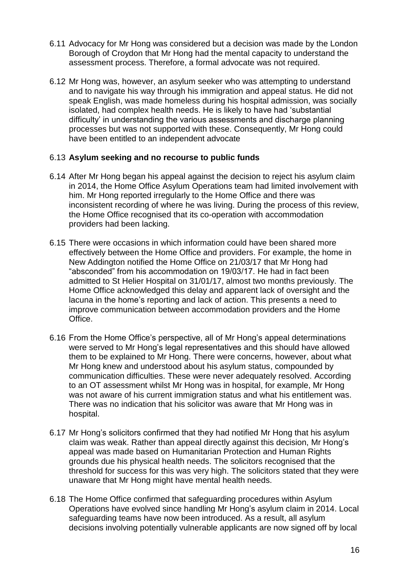- 6.11 Advocacy for Mr Hong was considered but a decision was made by the London Borough of Croydon that Mr Hong had the mental capacity to understand the assessment process. Therefore, a formal advocate was not required.
- 6.12 Mr Hong was, however, an asylum seeker who was attempting to understand and to navigate his way through his immigration and appeal status. He did not speak English, was made homeless during his hospital admission, was socially isolated, had complex health needs. He is likely to have had 'substantial difficulty' in understanding the various assessments and discharge planning processes but was not supported with these. Consequently, Mr Hong could have been entitled to an independent advocate

#### 6.13 **Asylum seeking and no recourse to public funds**

- 6.14 After Mr Hong began his appeal against the decision to reject his asylum claim in 2014, the Home Office Asylum Operations team had limited involvement with him. Mr Hong reported irregularly to the Home Office and there was inconsistent recording of where he was living. During the process of this review, the Home Office recognised that its co-operation with accommodation providers had been lacking.
- 6.15 There were occasions in which information could have been shared more effectively between the Home Office and providers. For example, the home in New Addington notified the Home Office on 21/03/17 that Mr Hong had "absconded" from his accommodation on 19/03/17. He had in fact been admitted to St Helier Hospital on 31/01/17, almost two months previously. The Home Office acknowledged this delay and apparent lack of oversight and the lacuna in the home's reporting and lack of action. This presents a need to improve communication between accommodation providers and the Home Office.
- 6.16 From the Home Office's perspective, all of Mr Hong's appeal determinations were served to Mr Hong's legal representatives and this should have allowed them to be explained to Mr Hong. There were concerns, however, about what Mr Hong knew and understood about his asylum status, compounded by communication difficulties. These were never adequately resolved. According to an OT assessment whilst Mr Hong was in hospital, for example, Mr Hong was not aware of his current immigration status and what his entitlement was. There was no indication that his solicitor was aware that Mr Hong was in hospital.
- 6.17 Mr Hong's solicitors confirmed that they had notified Mr Hong that his asylum claim was weak. Rather than appeal directly against this decision, Mr Hong's appeal was made based on Humanitarian Protection and Human Rights grounds due his physical health needs. The solicitors recognised that the threshold for success for this was very high. The solicitors stated that they were unaware that Mr Hong might have mental health needs.
- 6.18 The Home Office confirmed that safeguarding procedures within Asylum Operations have evolved since handling Mr Hong's asylum claim in 2014. Local safeguarding teams have now been introduced. As a result, all asylum decisions involving potentially vulnerable applicants are now signed off by local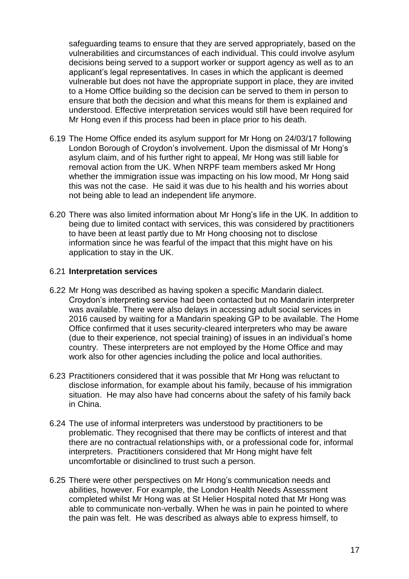safeguarding teams to ensure that they are served appropriately, based on the vulnerabilities and circumstances of each individual. This could involve asylum decisions being served to a support worker or support agency as well as to an applicant's legal representatives. In cases in which the applicant is deemed vulnerable but does not have the appropriate support in place, they are invited to a Home Office building so the decision can be served to them in person to ensure that both the decision and what this means for them is explained and understood. Effective interpretation services would still have been required for Mr Hong even if this process had been in place prior to his death.

- 6.19 The Home Office ended its asylum support for Mr Hong on 24/03/17 following London Borough of Croydon's involvement. Upon the dismissal of Mr Hong's asylum claim, and of his further right to appeal, Mr Hong was still liable for removal action from the UK. When NRPF team members asked Mr Hong whether the immigration issue was impacting on his low mood, Mr Hong said this was not the case. He said it was due to his health and his worries about not being able to lead an independent life anymore.
- 6.20 There was also limited information about Mr Hong's life in the UK. In addition to being due to limited contact with services, this was considered by practitioners to have been at least partly due to Mr Hong choosing not to disclose information since he was fearful of the impact that this might have on his application to stay in the UK.

#### 6.21 **Interpretation services**

- 6.22 Mr Hong was described as having spoken a specific Mandarin dialect. Croydon's interpreting service had been contacted but no Mandarin interpreter was available. There were also delays in accessing adult social services in 2016 caused by waiting for a Mandarin speaking GP to be available. The Home Office confirmed that it uses security-cleared interpreters who may be aware (due to their experience, not special training) of issues in an individual's home country. These interpreters are not employed by the Home Office and may work also for other agencies including the police and local authorities.
- 6.23 Practitioners considered that it was possible that Mr Hong was reluctant to disclose information, for example about his family, because of his immigration situation. He may also have had concerns about the safety of his family back in China.
- 6.24 The use of informal interpreters was understood by practitioners to be problematic. They recognised that there may be conflicts of interest and that there are no contractual relationships with, or a professional code for, informal interpreters. Practitioners considered that Mr Hong might have felt uncomfortable or disinclined to trust such a person.
- 6.25 There were other perspectives on Mr Hong's communication needs and abilities, however. For example, the London Health Needs Assessment completed whilst Mr Hong was at St Helier Hospital noted that Mr Hong was able to communicate non-verbally. When he was in pain he pointed to where the pain was felt. He was described as always able to express himself, to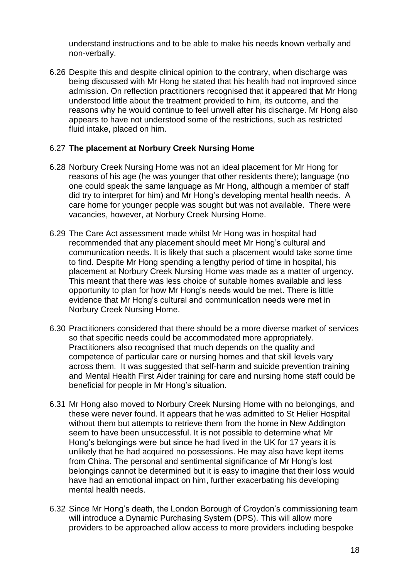understand instructions and to be able to make his needs known verbally and non-verbally.

6.26 Despite this and despite clinical opinion to the contrary, when discharge was being discussed with Mr Hong he stated that his health had not improved since admission. On reflection practitioners recognised that it appeared that Mr Hong understood little about the treatment provided to him, its outcome, and the reasons why he would continue to feel unwell after his discharge. Mr Hong also appears to have not understood some of the restrictions, such as restricted fluid intake, placed on him.

## 6.27 **The placement at Norbury Creek Nursing Home**

- 6.28 Norbury Creek Nursing Home was not an ideal placement for Mr Hong for reasons of his age (he was younger that other residents there); language (no one could speak the same language as Mr Hong, although a member of staff did try to interpret for him) and Mr Hong's developing mental health needs. A care home for younger people was sought but was not available. There were vacancies, however, at Norbury Creek Nursing Home.
- 6.29 The Care Act assessment made whilst Mr Hong was in hospital had recommended that any placement should meet Mr Hong's cultural and communication needs. It is likely that such a placement would take some time to find. Despite Mr Hong spending a lengthy period of time in hospital, his placement at Norbury Creek Nursing Home was made as a matter of urgency. This meant that there was less choice of suitable homes available and less opportunity to plan for how Mr Hong's needs would be met. There is little evidence that Mr Hong's cultural and communication needs were met in Norbury Creek Nursing Home.
- 6.30 Practitioners considered that there should be a more diverse market of services so that specific needs could be accommodated more appropriately. Practitioners also recognised that much depends on the quality and competence of particular care or nursing homes and that skill levels vary across them. It was suggested that self-harm and suicide prevention training and Mental Health First Aider training for care and nursing home staff could be beneficial for people in Mr Hong's situation.
- 6.31 Mr Hong also moved to Norbury Creek Nursing Home with no belongings, and these were never found. It appears that he was admitted to St Helier Hospital without them but attempts to retrieve them from the home in New Addington seem to have been unsuccessful. It is not possible to determine what Mr Hong's belongings were but since he had lived in the UK for 17 years it is unlikely that he had acquired no possessions. He may also have kept items from China. The personal and sentimental significance of Mr Hong's lost belongings cannot be determined but it is easy to imagine that their loss would have had an emotional impact on him, further exacerbating his developing mental health needs.
- 6.32 Since Mr Hong's death, the London Borough of Croydon's commissioning team will introduce a Dynamic Purchasing System (DPS). This will allow more providers to be approached allow access to more providers including bespoke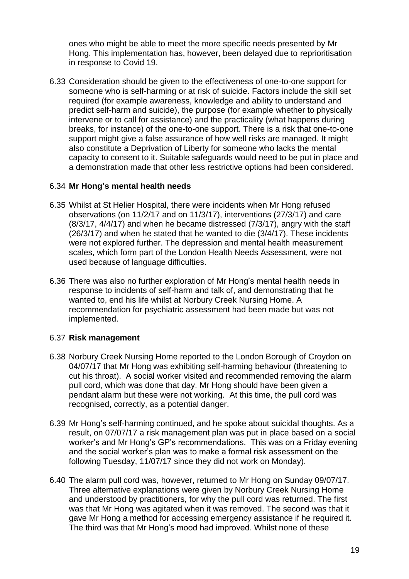ones who might be able to meet the more specific needs presented by Mr Hong. This implementation has, however, been delayed due to reprioritisation in response to Covid 19.

6.33 Consideration should be given to the effectiveness of one-to-one support for someone who is self-harming or at risk of suicide. Factors include the skill set required (for example awareness, knowledge and ability to understand and predict self-harm and suicide), the purpose (for example whether to physically intervene or to call for assistance) and the practicality (what happens during breaks, for instance) of the one-to-one support. There is a risk that one-to-one support might give a false assurance of how well risks are managed. It might also constitute a Deprivation of Liberty for someone who lacks the mental capacity to consent to it. Suitable safeguards would need to be put in place and a demonstration made that other less restrictive options had been considered.

#### 6.34 **Mr Hong's mental health needs**

- 6.35 Whilst at St Helier Hospital, there were incidents when Mr Hong refused observations (on 11/2/17 and on 11/3/17), interventions (27/3/17) and care (8/3/17, 4/4/17) and when he became distressed (7/3/17), angry with the staff (26/3/17) and when he stated that he wanted to die (3/4/17). These incidents were not explored further. The depression and mental health measurement scales, which form part of the London Health Needs Assessment, were not used because of language difficulties.
- 6.36 There was also no further exploration of Mr Hong's mental health needs in response to incidents of self-harm and talk of, and demonstrating that he wanted to, end his life whilst at Norbury Creek Nursing Home. A recommendation for psychiatric assessment had been made but was not implemented.

#### 6.37 **Risk management**

- 6.38 Norbury Creek Nursing Home reported to the London Borough of Croydon on 04/07/17 that Mr Hong was exhibiting self-harming behaviour (threatening to cut his throat). A social worker visited and recommended removing the alarm pull cord, which was done that day. Mr Hong should have been given a pendant alarm but these were not working. At this time, the pull cord was recognised, correctly, as a potential danger.
- 6.39 Mr Hong's self-harming continued, and he spoke about suicidal thoughts. As a result, on 07/07/17 a risk management plan was put in place based on a social worker's and Mr Hong's GP's recommendations. This was on a Friday evening and the social worker's plan was to make a formal risk assessment on the following Tuesday, 11/07/17 since they did not work on Monday).
- 6.40 The alarm pull cord was, however, returned to Mr Hong on Sunday 09/07/17. Three alternative explanations were given by Norbury Creek Nursing Home and understood by practitioners, for why the pull cord was returned. The first was that Mr Hong was agitated when it was removed. The second was that it gave Mr Hong a method for accessing emergency assistance if he required it. The third was that Mr Hong's mood had improved. Whilst none of these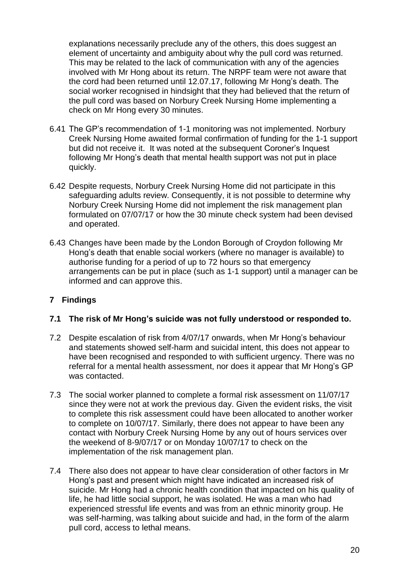explanations necessarily preclude any of the others, this does suggest an element of uncertainty and ambiguity about why the pull cord was returned. This may be related to the lack of communication with any of the agencies involved with Mr Hong about its return. The NRPF team were not aware that the cord had been returned until 12.07.17, following Mr Hong's death. The social worker recognised in hindsight that they had believed that the return of the pull cord was based on Norbury Creek Nursing Home implementing a check on Mr Hong every 30 minutes.

- 6.41 The GP's recommendation of 1-1 monitoring was not implemented. Norbury Creek Nursing Home awaited formal confirmation of funding for the 1-1 support but did not receive it. It was noted at the subsequent Coroner's Inquest following Mr Hong's death that mental health support was not put in place quickly.
- 6.42 Despite requests, Norbury Creek Nursing Home did not participate in this safeguarding adults review. Consequently, it is not possible to determine why Norbury Creek Nursing Home did not implement the risk management plan formulated on 07/07/17 or how the 30 minute check system had been devised and operated.
- 6.43 Changes have been made by the London Borough of Croydon following Mr Hong's death that enable social workers (where no manager is available) to authorise funding for a period of up to 72 hours so that emergency arrangements can be put in place (such as 1-1 support) until a manager can be informed and can approve this.

## **7 Findings**

#### **7.1 The risk of Mr Hong's suicide was not fully understood or responded to.**

- 7.2 Despite escalation of risk from 4/07/17 onwards, when Mr Hong's behaviour and statements showed self-harm and suicidal intent, this does not appear to have been recognised and responded to with sufficient urgency. There was no referral for a mental health assessment, nor does it appear that Mr Hong's GP was contacted.
- 7.3 The social worker planned to complete a formal risk assessment on 11/07/17 since they were not at work the previous day. Given the evident risks, the visit to complete this risk assessment could have been allocated to another worker to complete on 10/07/17. Similarly, there does not appear to have been any contact with Norbury Creek Nursing Home by any out of hours services over the weekend of 8-9/07/17 or on Monday 10/07/17 to check on the implementation of the risk management plan.
- 7.4 There also does not appear to have clear consideration of other factors in Mr Hong's past and present which might have indicated an increased risk of suicide. Mr Hong had a chronic health condition that impacted on his quality of life, he had little social support, he was isolated. He was a man who had experienced stressful life events and was from an ethnic minority group. He was self-harming, was talking about suicide and had, in the form of the alarm pull cord, access to lethal means.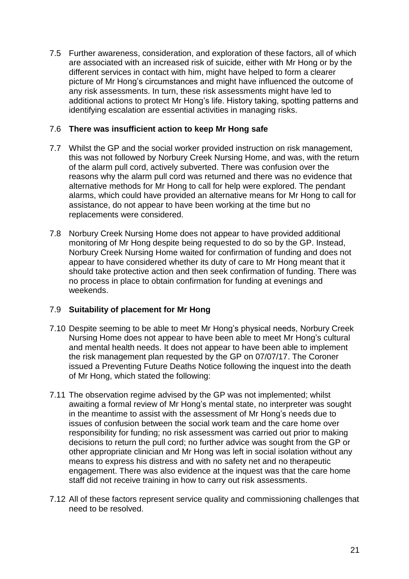7.5 Further awareness, consideration, and exploration of these factors, all of which are associated with an increased risk of suicide, either with Mr Hong or by the different services in contact with him, might have helped to form a clearer picture of Mr Hong's circumstances and might have influenced the outcome of any risk assessments. In turn, these risk assessments might have led to additional actions to protect Mr Hong's life. History taking, spotting patterns and identifying escalation are essential activities in managing risks.

#### 7.6 **There was insufficient action to keep Mr Hong safe**

- 7.7 Whilst the GP and the social worker provided instruction on risk management, this was not followed by Norbury Creek Nursing Home, and was, with the return of the alarm pull cord, actively subverted. There was confusion over the reasons why the alarm pull cord was returned and there was no evidence that alternative methods for Mr Hong to call for help were explored. The pendant alarms, which could have provided an alternative means for Mr Hong to call for assistance, do not appear to have been working at the time but no replacements were considered.
- 7.8 Norbury Creek Nursing Home does not appear to have provided additional monitoring of Mr Hong despite being requested to do so by the GP. Instead, Norbury Creek Nursing Home waited for confirmation of funding and does not appear to have considered whether its duty of care to Mr Hong meant that it should take protective action and then seek confirmation of funding. There was no process in place to obtain confirmation for funding at evenings and weekends.

## 7.9 **Suitability of placement for Mr Hong**

- 7.10 Despite seeming to be able to meet Mr Hong's physical needs, Norbury Creek Nursing Home does not appear to have been able to meet Mr Hong's cultural and mental health needs. It does not appear to have been able to implement the risk management plan requested by the GP on 07/07/17. The Coroner issued a Preventing Future Deaths Notice following the inquest into the death of Mr Hong, which stated the following:
- 7.11 The observation regime advised by the GP was not implemented; whilst awaiting a formal review of Mr Hong's mental state, no interpreter was sought in the meantime to assist with the assessment of Mr Hong's needs due to issues of confusion between the social work team and the care home over responsibility for funding; no risk assessment was carried out prior to making decisions to return the pull cord; no further advice was sought from the GP or other appropriate clinician and Mr Hong was left in social isolation without any means to express his distress and with no safety net and no therapeutic engagement. There was also evidence at the inquest was that the care home staff did not receive training in how to carry out risk assessments.
- 7.12 All of these factors represent service quality and commissioning challenges that need to be resolved.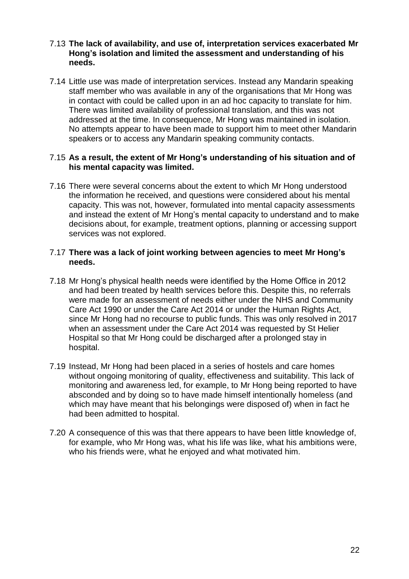#### 7.13 **The lack of availability, and use of, interpretation services exacerbated Mr Hong's isolation and limited the assessment and understanding of his needs.**

7.14 Little use was made of interpretation services. Instead any Mandarin speaking staff member who was available in any of the organisations that Mr Hong was in contact with could be called upon in an ad hoc capacity to translate for him. There was limited availability of professional translation, and this was not addressed at the time. In consequence, Mr Hong was maintained in isolation. No attempts appear to have been made to support him to meet other Mandarin speakers or to access any Mandarin speaking community contacts.

#### 7.15 **As a result, the extent of Mr Hong's understanding of his situation and of his mental capacity was limited.**

7.16 There were several concerns about the extent to which Mr Hong understood the information he received, and questions were considered about his mental capacity. This was not, however, formulated into mental capacity assessments and instead the extent of Mr Hong's mental capacity to understand and to make decisions about, for example, treatment options, planning or accessing support services was not explored.

#### 7.17 **There was a lack of joint working between agencies to meet Mr Hong's needs.**

- 7.18 Mr Hong's physical health needs were identified by the Home Office in 2012 and had been treated by health services before this. Despite this, no referrals were made for an assessment of needs either under the NHS and Community Care Act 1990 or under the Care Act 2014 or under the Human Rights Act, since Mr Hong had no recourse to public funds. This was only resolved in 2017 when an assessment under the Care Act 2014 was requested by St Helier Hospital so that Mr Hong could be discharged after a prolonged stay in hospital.
- 7.19 Instead, Mr Hong had been placed in a series of hostels and care homes without ongoing monitoring of quality, effectiveness and suitability. This lack of monitoring and awareness led, for example, to Mr Hong being reported to have absconded and by doing so to have made himself intentionally homeless (and which may have meant that his belongings were disposed of) when in fact he had been admitted to hospital.
- 7.20 A consequence of this was that there appears to have been little knowledge of, for example, who Mr Hong was, what his life was like, what his ambitions were, who his friends were, what he enjoyed and what motivated him.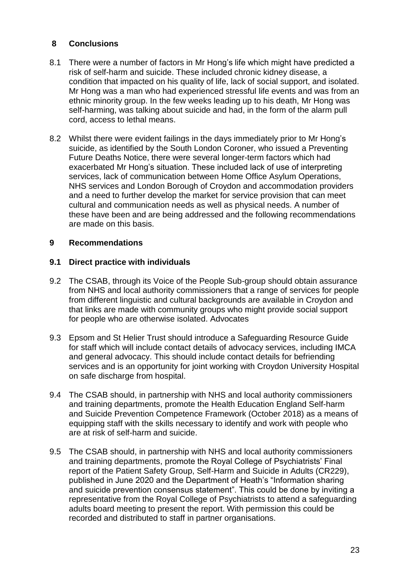## **8 Conclusions**

- 8.1 There were a number of factors in Mr Hong's life which might have predicted a risk of self-harm and suicide. These included chronic kidney disease, a condition that impacted on his quality of life, lack of social support, and isolated. Mr Hong was a man who had experienced stressful life events and was from an ethnic minority group. In the few weeks leading up to his death, Mr Hong was self-harming, was talking about suicide and had, in the form of the alarm pull cord, access to lethal means.
- 8.2 Whilst there were evident failings in the days immediately prior to Mr Hong's suicide, as identified by the South London Coroner, who issued a Preventing Future Deaths Notice, there were several longer-term factors which had exacerbated Mr Hong's situation. These included lack of use of interpreting services, lack of communication between Home Office Asylum Operations, NHS services and London Borough of Croydon and accommodation providers and a need to further develop the market for service provision that can meet cultural and communication needs as well as physical needs. A number of these have been and are being addressed and the following recommendations are made on this basis.

## **9 Recommendations**

#### **9.1 Direct practice with individuals**

- 9.2 The CSAB, through its Voice of the People Sub-group should obtain assurance from NHS and local authority commissioners that a range of services for people from different linguistic and cultural backgrounds are available in Croydon and that links are made with community groups who might provide social support for people who are otherwise isolated. Advocates
- 9.3 Epsom and St Helier Trust should introduce a Safeguarding Resource Guide for staff which will include contact details of advocacy services, including IMCA and general advocacy. This should include contact details for befriending services and is an opportunity for joint working with Croydon University Hospital on safe discharge from hospital.
- 9.4 The CSAB should, in partnership with NHS and local authority commissioners and training departments, promote the Health Education England Self-harm and Suicide Prevention Competence Framework (October 2018) as a means of equipping staff with the skills necessary to identify and work with people who are at risk of self-harm and suicide.
- 9.5 The CSAB should, in partnership with NHS and local authority commissioners and training departments, promote the Royal College of Psychiatrists' Final report of the Patient Safety Group, Self-Harm and Suicide in Adults (CR229), published in June 2020 and the Department of Heath's "Information sharing and suicide prevention consensus statement". This could be done by inviting a representative from the Royal College of Psychiatrists to attend a safeguarding adults board meeting to present the report. With permission this could be recorded and distributed to staff in partner organisations.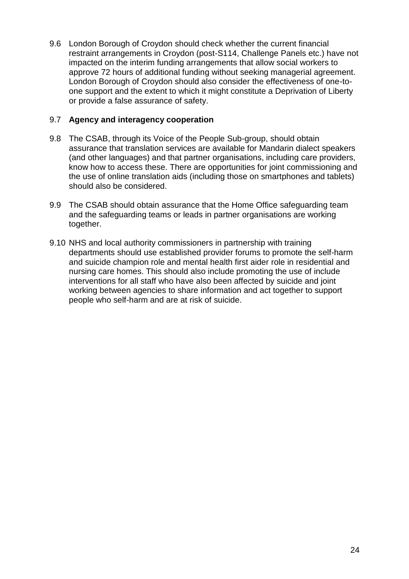9.6 London Borough of Croydon should check whether the current financial restraint arrangements in Croydon (post-S114, Challenge Panels etc.) have not impacted on the interim funding arrangements that allow social workers to approve 72 hours of additional funding without seeking managerial agreement. London Borough of Croydon should also consider the effectiveness of one-toone support and the extent to which it might constitute a Deprivation of Liberty or provide a false assurance of safety.

#### 9.7 **Agency and interagency cooperation**

- 9.8 The CSAB, through its Voice of the People Sub-group, should obtain assurance that translation services are available for Mandarin dialect speakers (and other languages) and that partner organisations, including care providers, know how to access these. There are opportunities for joint commissioning and the use of online translation aids (including those on smartphones and tablets) should also be considered.
- 9.9 The CSAB should obtain assurance that the Home Office safeguarding team and the safeguarding teams or leads in partner organisations are working together.
- 9.10 NHS and local authority commissioners in partnership with training departments should use established provider forums to promote the self-harm and suicide champion role and mental health first aider role in residential and nursing care homes. This should also include promoting the use of include interventions for all staff who have also been affected by suicide and joint working between agencies to share information and act together to support people who self-harm and are at risk of suicide.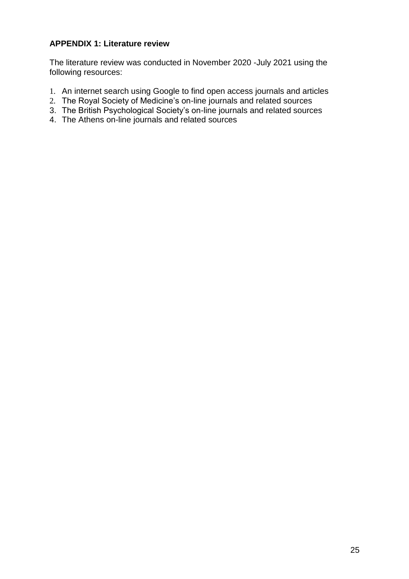## **APPENDIX 1: Literature review**

The literature review was conducted in November 2020 -July 2021 using the following resources:

- 1. An internet search using Google to find open access journals and articles
- 2. The Royal Society of Medicine's on-line journals and related sources
- 3. The British Psychological Society's on-line journals and related sources
- 4. The Athens on-line journals and related sources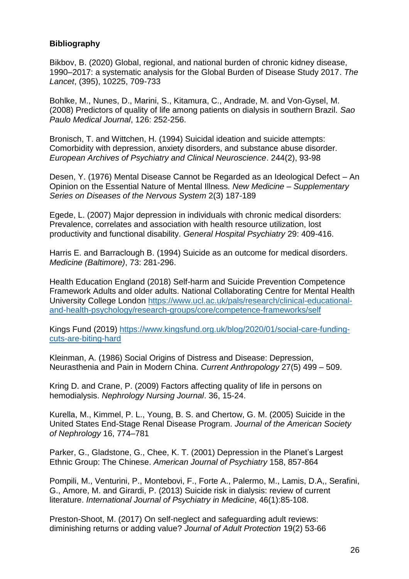#### **Bibliography**

Bikbov, B. (2020) Global, regional, and national burden of chronic kidney disease, 1990–2017: a systematic analysis for the Global Burden of Disease Study 2017. *The Lancet*, (395), 10225, 709-733

Bohlke, M., Nunes, D., Marini, S., Kitamura, C., Andrade, M. and Von-Gysel, M. (2008) Predictors of quality of life among patients on dialysis in southern Brazil. *Sao Paulo Medical Journal*, 126: 252-256.

Bronisch, T. and Wittchen, H. (1994) Suicidal ideation and suicide attempts: Comorbidity with depression, anxiety disorders, and substance abuse disorder. *European Archives of Psychiatry and Clinical Neuroscience*. 244(2), 93-98

Desen, Y. (1976) Mental Disease Cannot be Regarded as an Ideological Defect – An Opinion on the Essential Nature of Mental Illness*. New Medicine – Supplementary Series on Diseases of the Nervous System* 2(3) 187-189

Egede, L. (2007) Major depression in individuals with chronic medical disorders: Prevalence, correlates and association with health resource utilization, lost productivity and functional disability. *General Hospital Psychiatry* 29: 409-416.

Harris E. and Barraclough B. (1994) Suicide as an outcome for medical disorders. *Medicine (Baltimore)*, 73: 281-296.

Health Education England (2018) Self-harm and Suicide Prevention Competence Framework Adults and older adults. National Collaborating Centre for Mental Health University College London [https://www.ucl.ac.uk/pals/research/clinical-educational](https://www.ucl.ac.uk/pals/research/clinical-educational-and-health-psychology/research-groups/core/competence-frameworks/self)[and-health-psychology/research-groups/core/competence-frameworks/self](https://www.ucl.ac.uk/pals/research/clinical-educational-and-health-psychology/research-groups/core/competence-frameworks/self)

Kings Fund (2019) [https://www.kingsfund.org.uk/blog/2020/01/social-care-funding](https://www.kingsfund.org.uk/blog/2020/01/social-care-funding-cuts-are-biting-hard)[cuts-are-biting-hard](https://www.kingsfund.org.uk/blog/2020/01/social-care-funding-cuts-are-biting-hard)

Kleinman, A. (1986) Social Origins of Distress and Disease: Depression, Neurasthenia and Pain in Modern China. *Current Anthropology* 27(5) 499 – 509.

Kring D. and Crane, P. (2009) Factors affecting quality of life in persons on hemodialysis. *Nephrology Nursing Journal*. 36, 15-24.

Kurella, M., Kimmel, P. L., Young, B. S. and Chertow, G. M. (2005) Suicide in the United States End-Stage Renal Disease Program. *Journal of the American Society of Nephrology* 16, 774–781

Parker, G., Gladstone, G., Chee, K. T. (2001) Depression in the Planet's Largest Ethnic Group: The Chinese. *American Journal of Psychiatry* 158, 857-864

Pompili, M., Venturini, P., Montebovi, F., Forte A., Palermo, M., Lamis, D.A,, Serafini, G., Amore, M. and Girardi, P. (2013) Suicide risk in dialysis: review of current literature. *International Journal of Psychiatry in Medicine*, 46(1):85-108.

Preston-Shoot, M. (2017) On self-neglect and safeguarding adult reviews: diminishing returns or adding value? *Journal of Adult Protection* 19(2) 53-66